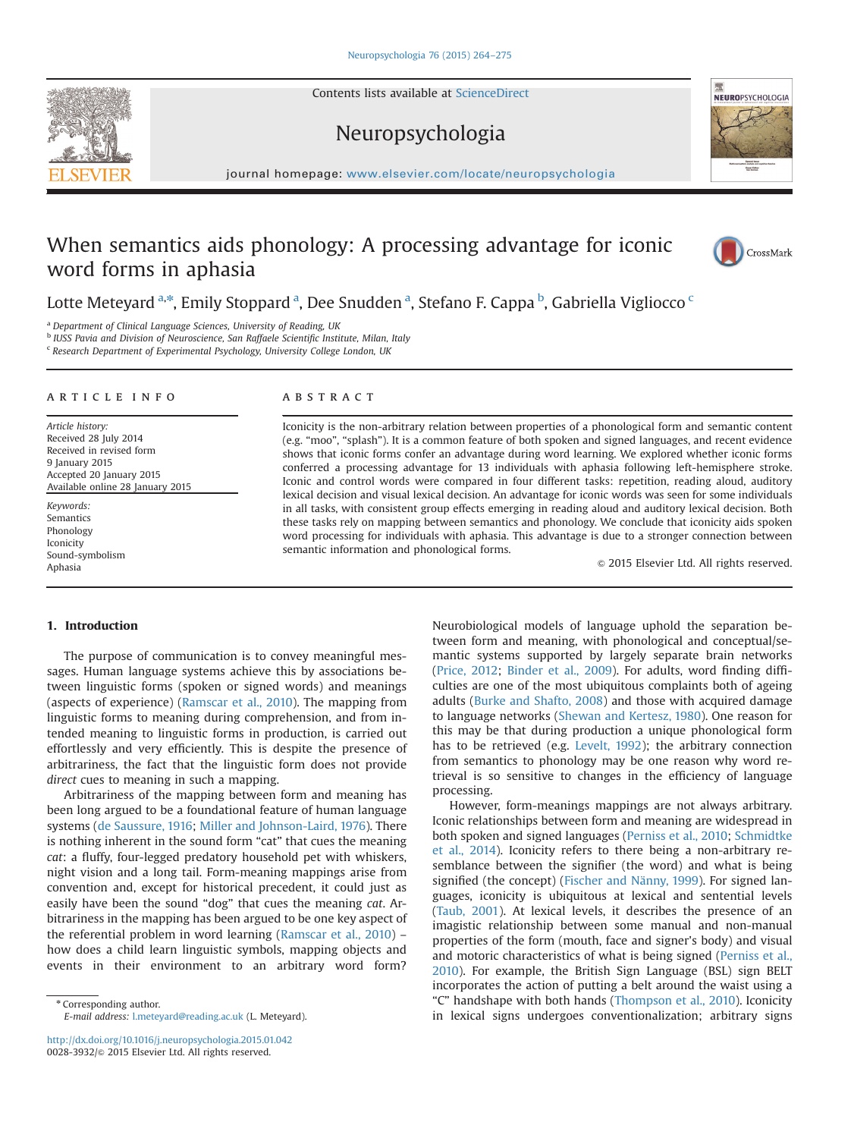Contents lists available at [ScienceDirect](www.sciencedirect.com/science/journal/00283932)





## Neuropsychologia

journal homepage: <www.elsevier.com/locate/neuropsychologia>ls.

## When semantics aids phonology: A processing advantage for iconic word forms in aphasia



Lotte Meteyard <sup>a,\*</sup>, Emily Stoppard <sup>a</sup>, Dee Snudden <sup>a</sup>, Stefano F. Cappa <sup>b</sup>, Gabriella Vigliocco <sup>c</sup>

<sup>a</sup> Department of Clinical Language Sciences, University of Reading, UK

b IUSS Pavia and Division of Neuroscience, San Raffaele Scientific Institute, Milan, Italy

 $c$  Research Department of Experimental Psychology, University College London, UK

#### article info

Article history: Received 28 July 2014 Received in revised form 9 January 2015 Accepted 20 January 2015 Available online 28 January 2015

Keywords: Semantics Phonology Iconicity Sound-symbolism Aphasia

### **ABSTRACT**

Iconicity is the non-arbitrary relation between properties of a phonological form and semantic content (e.g. "moo", "splash"). It is a common feature of both spoken and signed languages, and recent evidence shows that iconic forms confer an advantage during word learning. We explored whether iconic forms conferred a processing advantage for 13 individuals with aphasia following left-hemisphere stroke. Iconic and control words were compared in four different tasks: repetition, reading aloud, auditory lexical decision and visual lexical decision. An advantage for iconic words was seen for some individuals in all tasks, with consistent group effects emerging in reading aloud and auditory lexical decision. Both these tasks rely on mapping between semantics and phonology. We conclude that iconicity aids spoken word processing for individuals with aphasia. This advantage is due to a stronger connection between semantic information and phonological forms.

 $\odot$  2015 Elsevier Ltd. All rights reserved.

### 1. Introduction

The purpose of communication is to convey meaningful messages. Human language systems achieve this by associations between linguistic forms (spoken or signed words) and meanings (aspects of experience) (Ramscar et al., 2010). The mapping from linguistic forms to meaning during comprehension, and from intended meaning to linguistic forms in production, is carried out effortlessly and very efficiently. This is despite the presence of arbitrariness, the fact that the linguistic form does not provide direct cues to meaning in such a mapping.

Arbitrariness of the mapping between form and meaning has been long argued to be a foundational feature of human language systems (de Saussure, 1916; Miller and Johnson-Laird, 1976). There is nothing inherent in the sound form "cat" that cues the meaning cat: a fluffy, four-legged predatory household pet with whiskers, night vision and a long tail. Form-meaning mappings arise from convention and, except for historical precedent, it could just as easily have been the sound "dog" that cues the meaning cat. Arbitrariness in the mapping has been argued to be one key aspect of the referential problem in word learning (Ramscar et al., 2010) – how does a child learn linguistic symbols, mapping objects and events in their environment to an arbitrary word form?

\* Corresponding author. E-mail address: [l.meteyard@reading.ac.uk](mailto:l.meteyard@reading.ac.uk) (L. Meteyard).

<http://dx.doi.org/10.1016/j.neuropsychologia.2015.01.042> 0028-3932/& 2015 Elsevier Ltd. All rights reserved.

Neurobiological models of language uphold the separation between form and meaning, with phonological and conceptual/semantic systems supported by largely separate brain networks (Price, 2012; Binder et al., 2009). For adults, word finding difficulties are one of the most ubiquitous complaints both of ageing adults (Burke and Shafto, 2008) and those with acquired damage to language networks (Shewan and Kertesz, 1980). One reason for this may be that during production a unique phonological form has to be retrieved (e.g. Levelt, 1992); the arbitrary connection from semantics to phonology may be one reason why word retrieval is so sensitive to changes in the efficiency of language processing.

However, form-meanings mappings are not always arbitrary. Iconic relationships between form and meaning are widespread in both spoken and signed languages (Perniss et al., 2010; Schmidtke et al., 2014). Iconicity refers to there being a non-arbitrary resemblance between the signifier (the word) and what is being signified (the concept) (Fischer and Nänny, 1999). For signed languages, iconicity is ubiquitous at lexical and sentential levels (Taub, 2001). At lexical levels, it describes the presence of an imagistic relationship between some manual and non-manual properties of the form (mouth, face and signer's body) and visual and motoric characteristics of what is being signed (Perniss et al., 2010). For example, the British Sign Language (BSL) sign BELT incorporates the action of putting a belt around the waist using a "C" handshape with both hands (Thompson et al., 2010). Iconicity in lexical signs undergoes conventionalization; arbitrary signs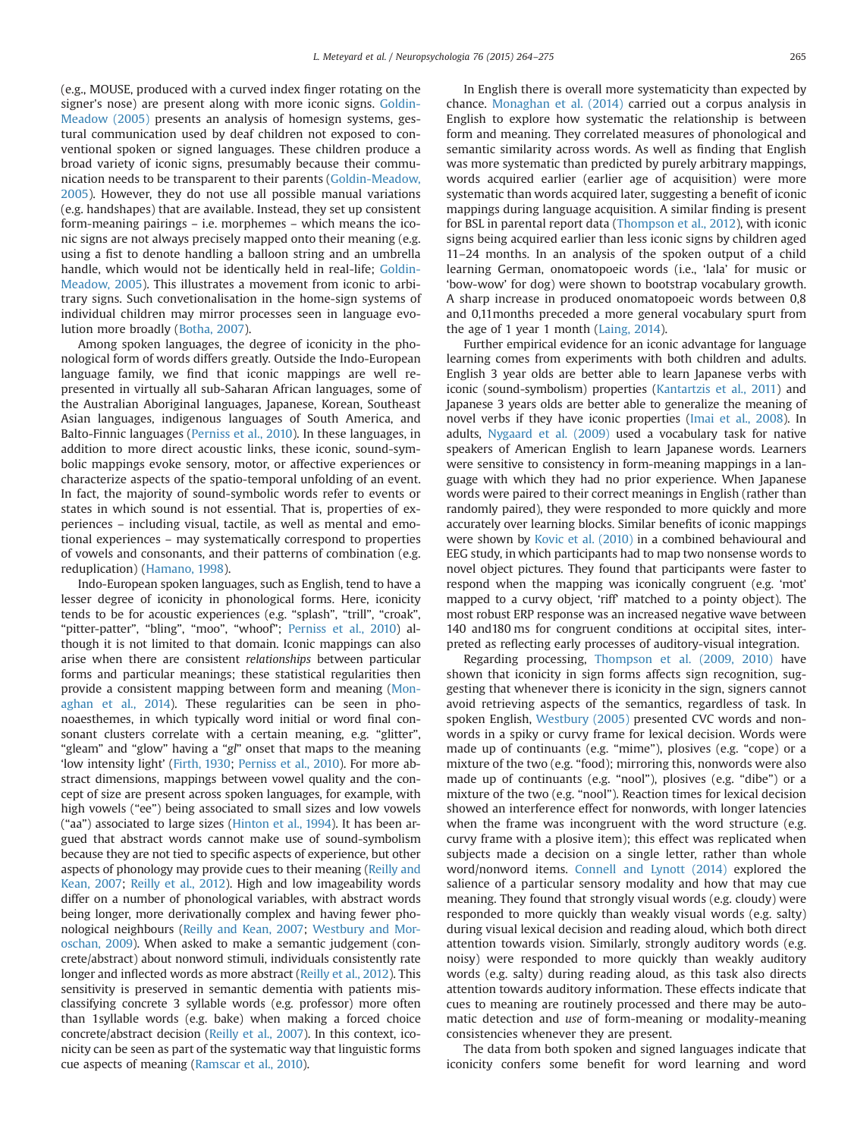(e.g., MOUSE, produced with a curved index finger rotating on the signer's nose) are present along with more iconic signs. Goldin-Meadow (2005) presents an analysis of homesign systems, gestural communication used by deaf children not exposed to conventional spoken or signed languages. These children produce a broad variety of iconic signs, presumably because their communication needs to be transparent to their parents (Goldin-Meadow, 2005). However, they do not use all possible manual variations (e.g. handshapes) that are available. Instead, they set up consistent form-meaning pairings – i.e. morphemes – which means the iconic signs are not always precisely mapped onto their meaning (e.g. using a fist to denote handling a balloon string and an umbrella handle, which would not be identically held in real-life; Goldin-Meadow, 2005). This illustrates a movement from iconic to arbitrary signs. Such convetionalisation in the home-sign systems of individual children may mirror processes seen in language evolution more broadly (Botha, 2007).

Among spoken languages, the degree of iconicity in the phonological form of words differs greatly. Outside the Indo-European language family, we find that iconic mappings are well represented in virtually all sub-Saharan African languages, some of the Australian Aboriginal languages, Japanese, Korean, Southeast Asian languages, indigenous languages of South America, and Balto-Finnic languages (Perniss et al., 2010). In these languages, in addition to more direct acoustic links, these iconic, sound-symbolic mappings evoke sensory, motor, or affective experiences or characterize aspects of the spatio-temporal unfolding of an event. In fact, the majority of sound-symbolic words refer to events or states in which sound is not essential. That is, properties of experiences – including visual, tactile, as well as mental and emotional experiences – may systematically correspond to properties of vowels and consonants, and their patterns of combination (e.g. reduplication) (Hamano, 1998).

Indo-European spoken languages, such as English, tend to have a lesser degree of iconicity in phonological forms. Here, iconicity tends to be for acoustic experiences (e.g. "splash", "trill", "croak", "pitter-patter", "bling", "moo", "whoof"; Perniss et al., 2010) although it is not limited to that domain. Iconic mappings can also arise when there are consistent relationships between particular forms and particular meanings; these statistical regularities then provide a consistent mapping between form and meaning (Monaghan et al., 2014). These regularities can be seen in phonoaesthemes, in which typically word initial or word final consonant clusters correlate with a certain meaning, e.g. "glitter", "gleam" and "glow" having a "gl" onset that maps to the meaning 'low intensity light' (Firth, 1930; Perniss et al., 2010). For more abstract dimensions, mappings between vowel quality and the concept of size are present across spoken languages, for example, with high vowels ("ee") being associated to small sizes and low vowels ("aa") associated to large sizes (Hinton et al., 1994). It has been argued that abstract words cannot make use of sound-symbolism because they are not tied to specific aspects of experience, but other aspects of phonology may provide cues to their meaning (Reilly and Kean, 2007; Reilly et al., 2012). High and low imageability words differ on a number of phonological variables, with abstract words being longer, more derivationally complex and having fewer phonological neighbours (Reilly and Kean, 2007; Westbury and Moroschan, 2009). When asked to make a semantic judgement (concrete/abstract) about nonword stimuli, individuals consistently rate longer and inflected words as more abstract (Reilly et al., 2012). This sensitivity is preserved in semantic dementia with patients misclassifying concrete 3 syllable words (e.g. professor) more often than 1syllable words (e.g. bake) when making a forced choice concrete/abstract decision (Reilly et al., 2007). In this context, iconicity can be seen as part of the systematic way that linguistic forms cue aspects of meaning (Ramscar et al., 2010).

In English there is overall more systematicity than expected by chance. Monaghan et al. (2014) carried out a corpus analysis in English to explore how systematic the relationship is between form and meaning. They correlated measures of phonological and semantic similarity across words. As well as finding that English was more systematic than predicted by purely arbitrary mappings, words acquired earlier (earlier age of acquisition) were more systematic than words acquired later, suggesting a benefit of iconic mappings during language acquisition. A similar finding is present for BSL in parental report data (Thompson et al., 2012), with iconic signs being acquired earlier than less iconic signs by children aged 11–24 months. In an analysis of the spoken output of a child learning German, onomatopoeic words (i.e., 'lala' for music or 'bow-wow' for dog) were shown to bootstrap vocabulary growth. A sharp increase in produced onomatopoeic words between 0,8 and 0,11months preceded a more general vocabulary spurt from the age of 1 year 1 month (Laing, 2014).

Further empirical evidence for an iconic advantage for language learning comes from experiments with both children and adults. English 3 year olds are better able to learn Japanese verbs with iconic (sound-symbolism) properties (Kantartzis et al., 2011) and Japanese 3 years olds are better able to generalize the meaning of novel verbs if they have iconic properties (Imai et al., 2008). In adults, Nygaard et al. (2009) used a vocabulary task for native speakers of American English to learn Japanese words. Learners were sensitive to consistency in form-meaning mappings in a language with which they had no prior experience. When Japanese words were paired to their correct meanings in English (rather than randomly paired), they were responded to more quickly and more accurately over learning blocks. Similar benefits of iconic mappings were shown by Kovic et al. (2010) in a combined behavioural and EEG study, in which participants had to map two nonsense words to novel object pictures. They found that participants were faster to respond when the mapping was iconically congruent (e.g. 'mot' mapped to a curvy object, 'riff' matched to a pointy object). The most robust ERP response was an increased negative wave between 140 and180 ms for congruent conditions at occipital sites, interpreted as reflecting early processes of auditory-visual integration.

Regarding processing, Thompson et al. (2009, 2010) have shown that iconicity in sign forms affects sign recognition, suggesting that whenever there is iconicity in the sign, signers cannot avoid retrieving aspects of the semantics, regardless of task. In spoken English, Westbury (2005) presented CVC words and nonwords in a spiky or curvy frame for lexical decision. Words were made up of continuants (e.g. "mime"), plosives (e.g. "cope) or a mixture of the two (e.g. "food); mirroring this, nonwords were also made up of continuants (e.g. "nool"), plosives (e.g. "dibe") or a mixture of the two (e.g. "nool"). Reaction times for lexical decision showed an interference effect for nonwords, with longer latencies when the frame was incongruent with the word structure (e.g. curvy frame with a plosive item); this effect was replicated when subjects made a decision on a single letter, rather than whole word/nonword items. Connell and Lynott (2014) explored the salience of a particular sensory modality and how that may cue meaning. They found that strongly visual words (e.g. cloudy) were responded to more quickly than weakly visual words (e.g. salty) during visual lexical decision and reading aloud, which both direct attention towards vision. Similarly, strongly auditory words (e.g. noisy) were responded to more quickly than weakly auditory words (e.g. salty) during reading aloud, as this task also directs attention towards auditory information. These effects indicate that cues to meaning are routinely processed and there may be automatic detection and use of form-meaning or modality-meaning consistencies whenever they are present.

The data from both spoken and signed languages indicate that iconicity confers some benefit for word learning and word